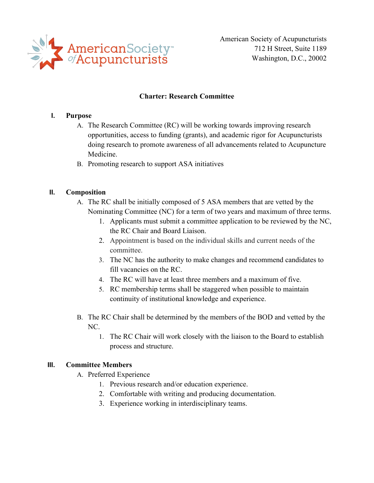

American Society of Acupuncturists 712 H Street, Suite 1189 Washington, D.C., 20002

## **Charter: Research Committee**

## **I. Purpose**

- A. The Research Committee (RC) will be working towards improving research opportunities, access to funding (grants), and academic rigor for Acupuncturists doing research to promote awareness ofall advancements related to Acupuncture Medicine.
- B. Promoting research to support ASA initiatives

# **II. Composition**

- A. The RC shall be initially composed of 5 ASA members that are vetted by the Nominating Committee (NC) for a term of two years and maximum of three terms.
	- 1. Applicants must submit a committee application to be reviewed by the NC, the RC Chair and Board Liaison.
	- 2. Appointment is based on the individual skills and current needs of the committee.
	- 3. The NC has the authority to make changes and recommend candidates to fill vacancies on the RC.
	- 4. The RC will have at least three members and a maximum of five.
	- 5. RC membership terms shall be staggered when possible to maintain continuity of institutional knowledge and experience.
- B. The RC Chair shall be determined by the members of the BOD and vetted by the NC.
	- 1. The RC Chair will work closely with the liaison to the Board to establish process and structure.

## **III. Committee Members**

- A. Preferred Experience
	- 1. Previous research and/or education experience.
	- 2. Comfortable with writing and producing documentation.
	- 3. Experience working in interdisciplinary teams.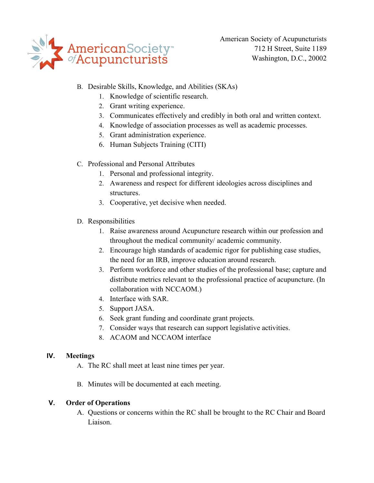

American Society of Acupuncturists 712 H Street, Suite 1189 Washington, D.C., 20002

- B. Desirable Skills, Knowledge, and Abilities (SKAs)
	- 1. Knowledge of scientific research.
	- 2. Grant writing experience.
	- 3. Communicates effectively and credibly in both oral and written context.
	- 4. Knowledge of association processes as well as academic processes.
	- 5. Grant administration experience.
	- 6. Human Subjects Training (CITI)
- C. Professional and Personal Attributes
	- 1. Personal and professional integrity.
	- 2. Awareness and respect for different ideologies across disciplines and structures.
	- 3. Cooperative, yet decisive when needed.
- D. Responsibilities
	- 1. Raise awareness around Acupuncture research within our profession and throughout the medical community/ academic community.
	- 2. Encourage high standards of academic rigor for publishing case studies, the need for an IRB, improve education around research.
	- 3. Perform workforce and other studies of the professional base; capture and distribute metrics relevant to the professional practice of acupuncture. (In collaboration with NCCAOM.)
	- 4. Interface with SAR.
	- 5. Support JASA.
	- 6. Seek grant funding and coordinate grant projects.
	- 7. Consider ways that research can support legislative activities.
	- 8. ACAOM and NCCAOM interface

## **IV. Meetings**

- A. The RC shall meet at least nine times per year.
- B. Minutes will be documented at each meeting.

## **V. Order of Operations**

A. Questions or concerns within the RC shall be brought to the RC Chair and Board Liaison.